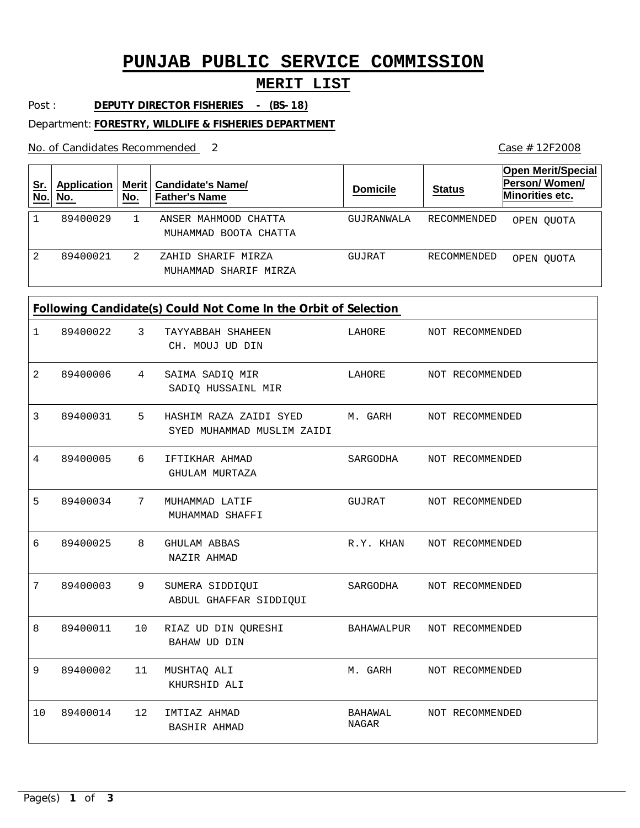# **PUNJAB PUBLIC SERVICE COMMISSION**

#### **MERIT LIST**

Post : **DEPUTY DIRECTOR FISHERIES - (BS-18)** 

Department: **FORESTRY, WILDLIFE & FISHERIES DEPARTMENT**

No. of Candidates Recommended

| <u>Sr.</u><br>No. | <b>Application</b><br>No. | Merit ∣<br>No. | <b>Candidate's Name/</b><br><b>Father's Name</b> | <b>Domicile</b> | <b>Status</b> | Open Merit/Special<br>Person/Women/<br><b>Minorities etc.</b> |
|-------------------|---------------------------|----------------|--------------------------------------------------|-----------------|---------------|---------------------------------------------------------------|
|                   | 89400029                  |                | ANSER MAHMOOD CHATTA<br>MUHAMMAD BOOTA CHATTA    | GUJRANWALA      | RECOMMENDED   | OPEN OUOTA                                                    |
| 2.                | 89400021                  | 2              | ZAHID SHARIF MIRZA<br>MUHAMMAD SHARIF MIRZA      | GUJRAT          | RECOMMENDED   | OPEN OUOTA                                                    |

### **Following Candidate(s) Could Not Come In the Orbit of Selection**

|                | <u>renewing</u> canalaato(s) occup not come in the orbit or selection |                 |                                                                              |                            |  |                           |  |
|----------------|-----------------------------------------------------------------------|-----------------|------------------------------------------------------------------------------|----------------------------|--|---------------------------|--|
| $\mathbf{1}$   | 89400022 3                                                            |                 | TAYYABBAH SHAHEEN<br>CH. MOUJ UD DIN                                         |                            |  | LAHORE NOT RECOMMENDED    |  |
| $\overline{2}$ | 89400006                                                              | $\overline{4}$  | SAIMA SADIQ MIR<br>SADIQ HUSSAINL MIR                                        | LAHORE NOT RECOMMENDED     |  |                           |  |
| 3              | 89400031                                                              | 5               | HASHIM RAZA ZAIDI SYED M. GARH NOT RECOMMENDED<br>SYED MUHAMMAD MUSLIM ZAIDI |                            |  |                           |  |
| 4              | 89400005 6                                                            |                 | IFTIKHAR AHMAD<br>GHULAM MURTAZA                                             |                            |  | SARGODHA NOT RECOMMENDED  |  |
| 5              | 89400034                                                              | 7               | MUHAMMAD LATIF<br>MUHAMMAD SHAFFI                                            |                            |  | GUJRAT NOT RECOMMENDED    |  |
| 6              | 89400025                                                              | 8               | GHULAM ABBAS<br>NAZIR AHMAD                                                  |                            |  | R.Y. KHAN NOT RECOMMENDED |  |
| 7              | 89400003                                                              | 9               | SUMERA SIDDIQUI<br>ABDUL GHAFFAR SIDDIQUI                                    |                            |  | SARGODHA NOT RECOMMENDED  |  |
| 8              | 89400011                                                              | 10              | RIAZ UD DIN QURESHI<br><b>BAHAW UD DIN</b>                                   | BAHAWALPUR NOT RECOMMENDED |  |                           |  |
| 9              | 89400002                                                              | 11              | MUSHTAQ ALI<br>KHURSHID ALI                                                  |                            |  | M. GARH NOT RECOMMENDED   |  |
| 10             | 89400014                                                              | 12 <sup>°</sup> | IMTIAZ AHMAD<br><b>BASHIR AHMAD</b>                                          | BAHAWAL<br>NAGAR           |  | NOT RECOMMENDED           |  |

2 Case # 12F2008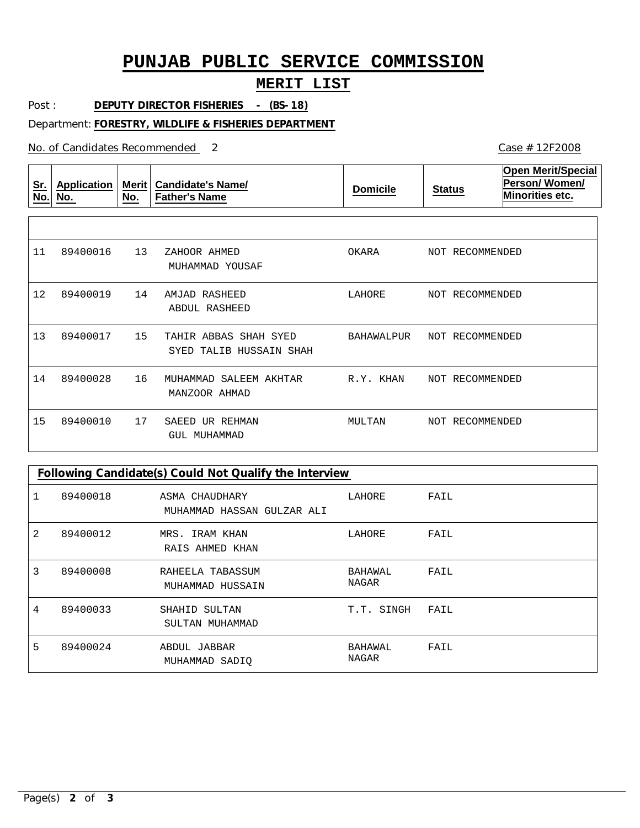# **PUNJAB PUBLIC SERVICE COMMISSION**

### **MERIT LIST**

Post : **DEPUTY DIRECTOR FISHERIES - (BS-18)** 

Department: **FORESTRY, WILDLIFE & FISHERIES DEPARTMENT**

No. of Candidates Recommended

| $Sr$ .<br>No. | <b>Application</b><br>No. | <b>Merit</b><br>No. | <b>Candidate's Name/</b><br><b>Father's Name</b>    | <b>Domicile</b> | <b>Status</b>      | <b>Open Merit/Special</b><br>Person/Women/<br>Minorities etc. |
|---------------|---------------------------|---------------------|-----------------------------------------------------|-----------------|--------------------|---------------------------------------------------------------|
|               |                           |                     |                                                     |                 |                    |                                                               |
| 11            | 89400016                  | 13                  | ZAHOOR AHMED<br>MUHAMMAD YOUSAF                     | OKARA           | NOT RECOMMENDED    |                                                               |
| 12            | 89400019                  | 14                  | RASHEED<br>AMJAD<br>ABDUL RASHEED                   | LAHORE          | RECOMMENDED<br>NOT |                                                               |
| 13            | 89400017                  | 15                  | TAHIR ABBAS<br>SHAH SYED<br>SYED TALIB HUSSAIN SHAH | BAHAWALPUR      | NOT RECOMMENDED    |                                                               |
| 14            | 89400028                  | 16                  | SALEEM AKHTAR<br>MUHAMMAD<br>MANZOOR AHMAD          | R.Y. KHAN       | NOT RECOMMENDED    |                                                               |
| 15            | 89400010                  | 17                  | SAEED<br>UR REHMAN<br><b>GUL MUHAMMAD</b>           | MULTAN          | NOT RECOMMENDED    |                                                               |

| Following Candidate(s) Could Not Qualify the Interview |          |                                              |                  |      |  |  |
|--------------------------------------------------------|----------|----------------------------------------------|------------------|------|--|--|
|                                                        | 89400018 | ASMA CHAUDHARY<br>MUHAMMAD HASSAN GULZAR ALI | LAHORE           | FAIL |  |  |
| 2                                                      | 89400012 | IRAM KHAN<br>MRS.<br>RAIS AHMED KHAN         | LAHORE           | FAIL |  |  |
| 3                                                      | 89400008 | RAHEELA TABASSUM<br>MUHAMMAD HUSSAIN         | BAHAWAL<br>NAGAR | FAIL |  |  |
| 4                                                      | 89400033 | SHAHID SULTAN<br>SULTAN MUHAMMAD             | T.T. SINGH       | FAIL |  |  |
| 5                                                      | 89400024 | ABDUL JABBAR<br>MUHAMMAD SADIQ               | BAHAWAL<br>NAGAR | FAIL |  |  |

Case # 12F2008